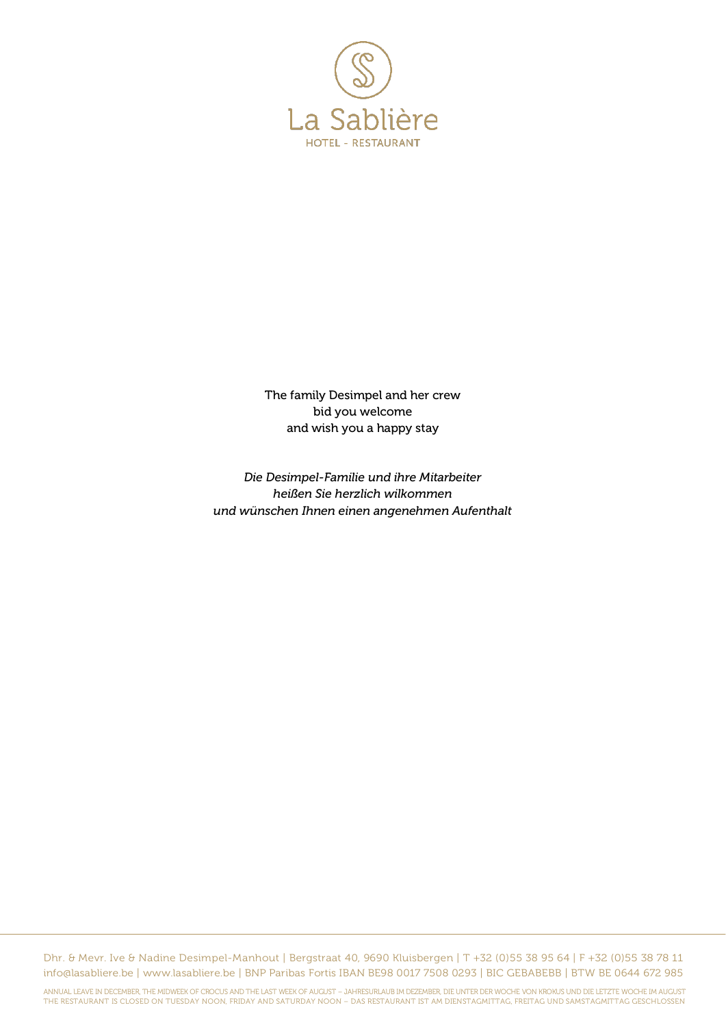

The family Desimpel and her crew bid you welcome and wish you a happy stay

*Die Desimpel-Familie und ihre Mitarbeiter heißen Sie herzlich wilkommen und wünschen Ihnen einen angenehmen Aufenthalt*

Dhr. & Mevr. Ive & Nadine Desimpel-Manhout | Bergstraat 40, 9690 Kluisbergen | T +32 (0)55 38 95 64 | F +32 (0)55 38 78 11 info@lasabliere.be | www.lasabliere.be | BNP Paribas Fortis IBAN BE98 0017 7508 0293 | BIC GEBABEBB | BTW BE 0644 672 985

ANNUAL LEAVE IN DECEMBER, THE MIDWEEK OF CROCUS AND THE LAST WEEK OF AUGUST – JAHRESURLAUB IM DEZEMBER, DIE UNTER DER WOCHE VON KROKUS UND DIE LETZTE WOCHE IM AUGUST<br>THE RESTAURANT IS CLOSED ON TUESDAY NOON, FRIDAY AND SAT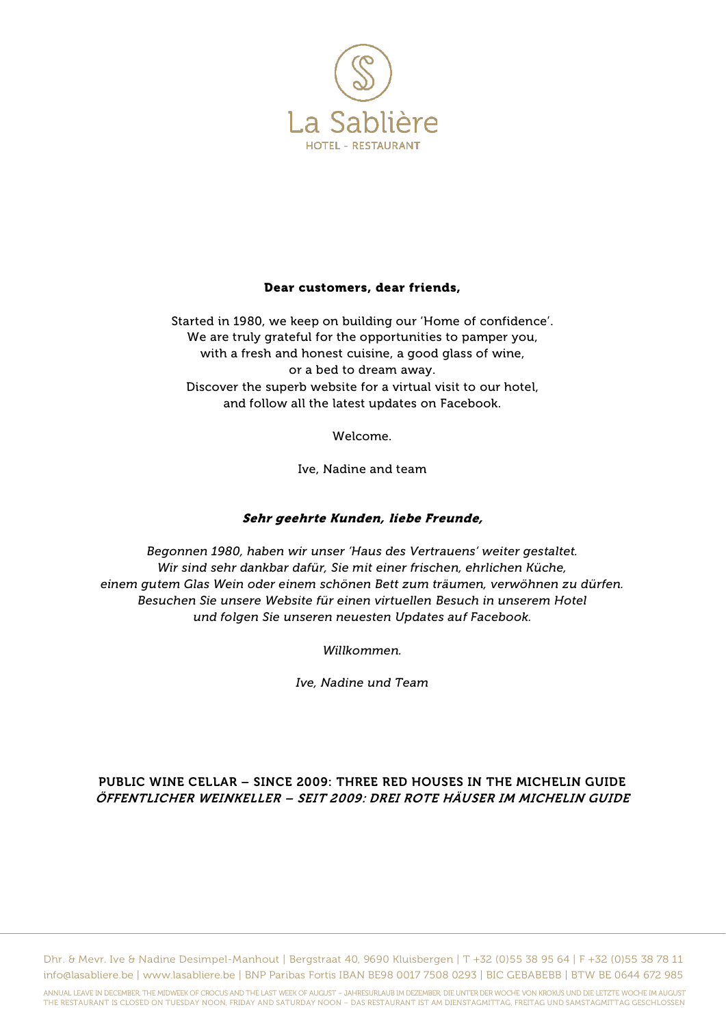

#### Dear customers, dear friends,

Started in 1980, we keep on building our 'Home of confidence'. We are truly grateful for the opportunities to pamper you, with a fresh and honest cuisine, a good glass of wine, or a bed to dream away. Discover the superb website for a virtual visit to our hotel, and follow all the latest updates on Facebook.

Welcome.

Ive, Nadine and team

### Sehr geehrte Kunden, liebe Freunde,

*Begonnen 1980, haben wir unser 'Haus des Vertrauens' weiter gestaltet. Wir sind sehr dankbar dafür, Sie mit einer frischen, ehrlichen Küche, einem gutem Glas Wein oder einem schönen Bett zum träumen, verwöhnen zu dürfen. Besuchen Sie unsere Website für einen virtuellen Besuch in unserem Hotel und folgen Sie unseren neuesten Updates auf Facebook.*

*Willkommen.*

*Ive, Nadine und Team*

# PUBLIC WINE CELLAR – SINCE 2009: THREE RED HOUSES IN THE MICHELIN GUIDE ÖFFENTLICHER WEINKELLER – SEIT 2009: DREI ROTE HÄUSER IM MICHELIN GUIDE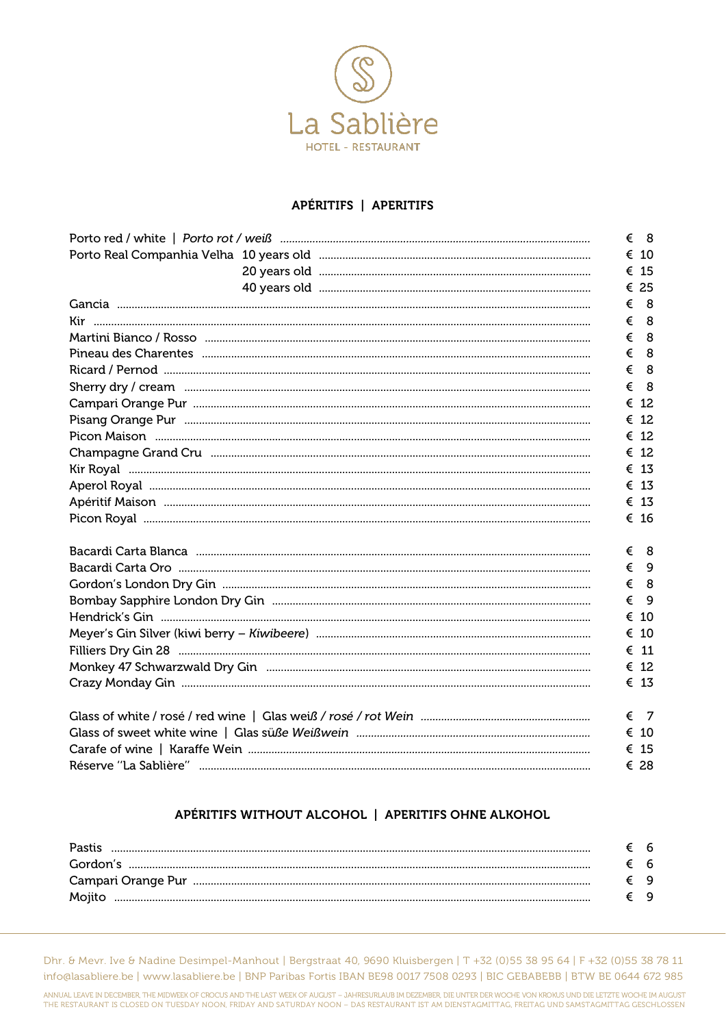

# APÉRITIFS | APERITIFS

|  |  |   | $\epsilon$ 8  |
|--|--|---|---------------|
|  |  |   | $\epsilon$ 10 |
|  |  |   | € 15          |
|  |  |   | € 25          |
|  |  | € | - 8           |
|  |  | € | - 8           |
|  |  | € | - 8           |
|  |  | € | - 8           |
|  |  | € | - 8           |
|  |  | € | - 8           |
|  |  |   | € 12          |
|  |  |   | € 12          |
|  |  |   | € 12          |
|  |  |   | $\epsilon$ 12 |
|  |  |   | $\epsilon$ 13 |
|  |  |   | $\epsilon$ 13 |
|  |  |   | $\epsilon$ 13 |
|  |  |   | € 16          |
|  |  |   | $\epsilon$ 8  |
|  |  |   | $\xi$ 9       |
|  |  | € | 8             |
|  |  | € | - 9           |
|  |  |   | € 10          |
|  |  |   | € 10          |
|  |  |   | $\epsilon$ 11 |
|  |  |   | € 12          |
|  |  |   | $\epsilon$ 13 |
|  |  | € | - 7           |
|  |  |   | € 10          |
|  |  |   | € 15          |
|  |  |   | € 28          |

# APÉRITIFS WITHOUT ALCOHOL | APERITIFS OHNE ALKOHOL

| <b>Pastis</b> | 6   |
|---------------|-----|
|               | - 6 |
|               | Q   |
|               | Q   |

Dhr. & Mevr. Ive & Nadine Desimpel-Manhout | Bergstraat 40, 9690 Kluisbergen | T +32 (0)55 38 95 64 | F +32 (0)55 38 78 11 info@lasabliere.be | www.lasabliere.be | BNP Paribas Fortis IBAN BE98 0017 7508 0293 | BIC GEBABEBB | BTW BE 0644 672 985

ANNUAL LEAVE IN DECEMBER, THE MIDWEEK OF CROCUS AND THE LAST WEEK OF AUGUST - JAHRESURLAUB IM DEZEMBER, DIE UNTER DER WOCHE VON KROKUS UND DIE LETZTE WOCHE IM AUGUST<br>THE RESTAURANT IS CLOSED ON TUESDAY NOON, FRIDAY AND SAT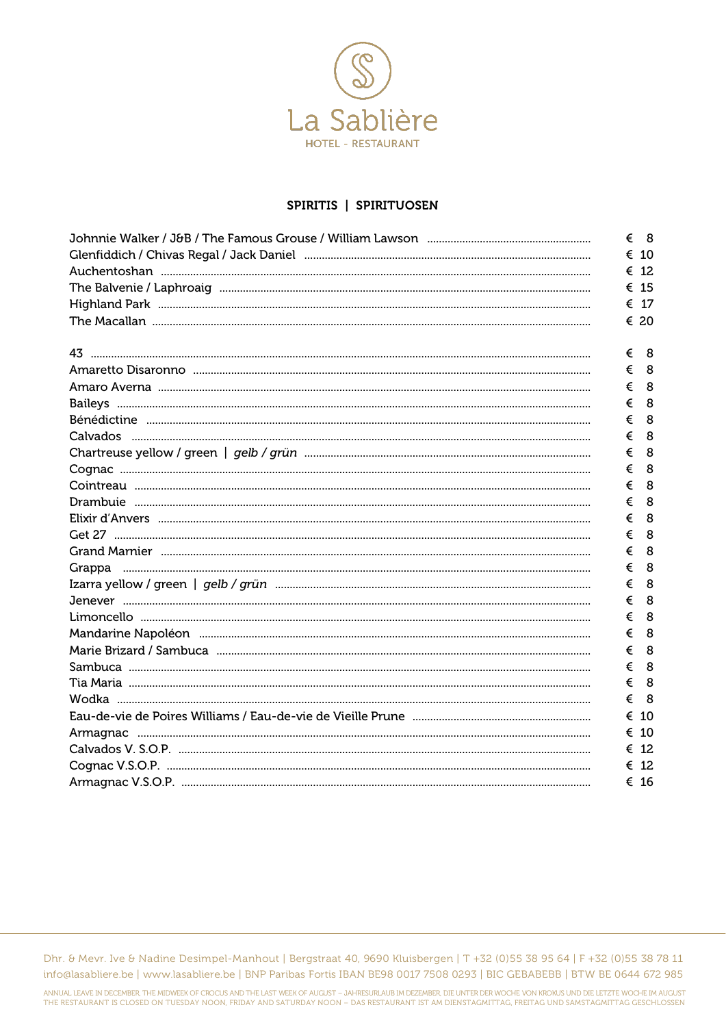

#### SPIRITIS | SPIRITUOSEN

|   | $\epsilon$ 8 |
|---|--------------|
|   | € 10         |
|   | € 12         |
|   | € 15         |
|   | € 17         |
|   | € 20         |
| € | - 8          |
| € | 8            |
| € | 8            |
| € | 8            |
| € | 8            |
| € | 8            |
| € | 8            |
| € | 8            |
| € | 8            |
| € | 8            |
| € | 8            |
| € | 8            |
| € | 8            |
| € | 8            |
| € | 8            |
| € | 8            |
| € | 8            |
| € | 8            |
| € | 8            |
| € | 8            |
| € | 8            |
| € | 8            |
| € | -10          |
| € | 10           |
| € | -12          |
| € | -12          |
|   | € 16         |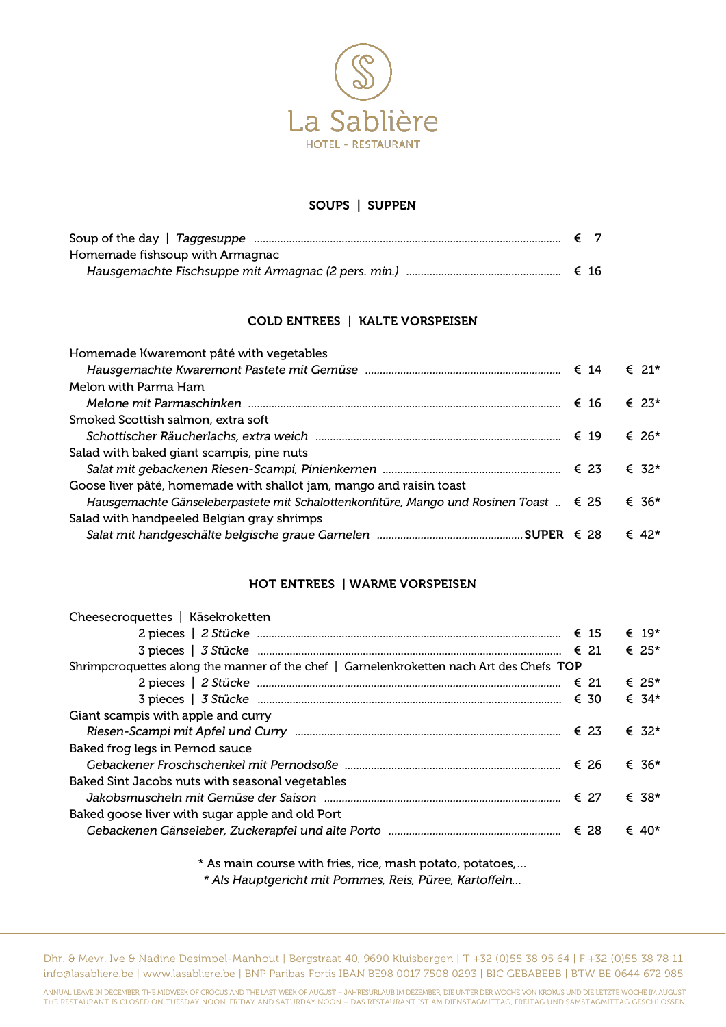

## SOUPS | SUPPEN

| Homemade fishsoup with Armagnac |  |
|---------------------------------|--|
|                                 |  |

# COLD ENTREES | KALTE VORSPEISEN

| Homemade Kwaremont pâté with vegetables                                                         |  |                |
|-------------------------------------------------------------------------------------------------|--|----------------|
|                                                                                                 |  | $\epsilon$ 21* |
| Melon with Parma Ham                                                                            |  |                |
|                                                                                                 |  | € 2.3*         |
| Smoked Scottish salmon, extra soft                                                              |  |                |
|                                                                                                 |  | € 26*          |
| Salad with baked giant scampis, pine nuts                                                       |  |                |
|                                                                                                 |  | $\epsilon$ 32* |
| Goose liver pâté, homemade with shallot jam, mango and raisin toast                             |  |                |
| Hausgemachte Gänseleberpastete mit Schalottenkonfitüre, Mango und Rosinen Toast $\ldots \in 25$ |  | € 36*          |
| Salad with handpeeled Belgian gray shrimps                                                      |  |                |
|                                                                                                 |  | $∈ 42*$        |
|                                                                                                 |  |                |

## HOT ENTREES | WARME VORSPEISEN

| Cheesecroquettes   Käsekroketten                                                         |  |   |                |
|------------------------------------------------------------------------------------------|--|---|----------------|
|                                                                                          |  |   | $\epsilon$ 19* |
|                                                                                          |  |   | $\epsilon$ 25* |
| Shrimpcroquettes along the manner of the chef   Garnelenkroketten nach Art des Chefs TOP |  |   |                |
|                                                                                          |  |   | $\epsilon$ 25* |
|                                                                                          |  |   | € 34*          |
| Giant scampis with apple and curry                                                       |  |   |                |
|                                                                                          |  |   | $∈ 32*$        |
| Baked frog legs in Pernod sauce                                                          |  |   |                |
|                                                                                          |  |   | € 36*          |
| Baked Sint Jacobs nuts with seasonal vegetables                                          |  |   |                |
|                                                                                          |  |   | $\epsilon$ 38* |
| Baked goose liver with sugar apple and old Port                                          |  |   |                |
|                                                                                          |  | € | 40*            |
|                                                                                          |  |   |                |

\* As main course with fries, rice, mash potato, potatoes,…

*\* Als Hauptgericht mit Pommes, Reis, Püree, Kartoffeln…*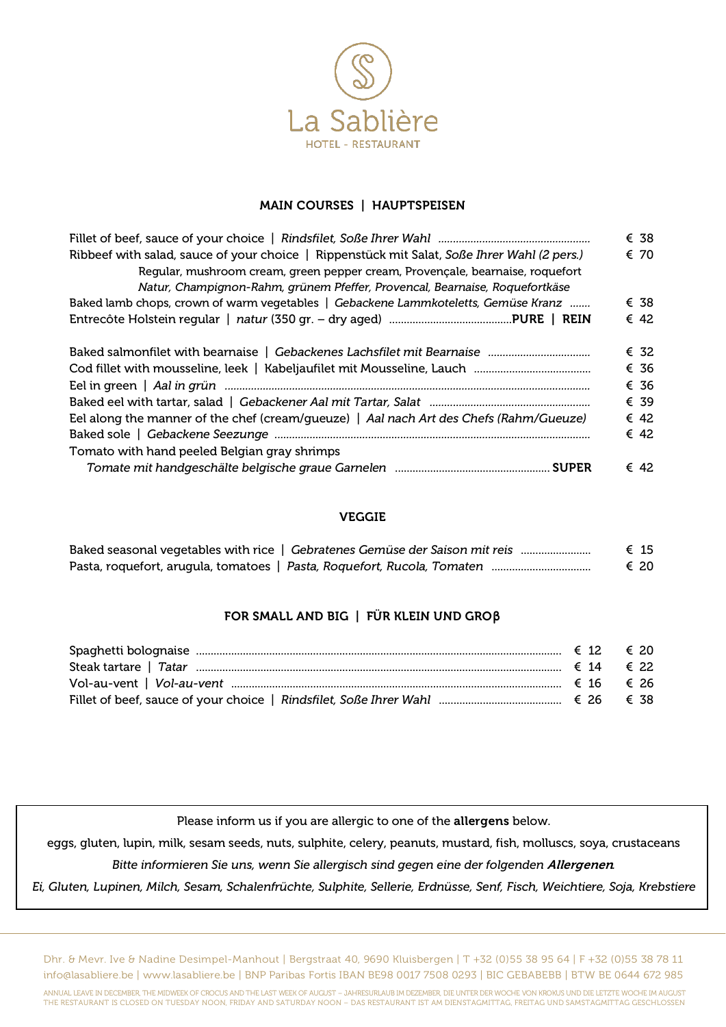

#### MAIN COURSES | HAUPTSPEISEN

|                                                                                             | € 38          |
|---------------------------------------------------------------------------------------------|---------------|
| Ribbeef with salad, sauce of your choice   Rippenstück mit Salat, Soße Ihrer Wahl (2 pers.) | € 70          |
| Regular, mushroom cream, green pepper cream, Provençale, bearnaise, roquefort               |               |
| Natur, Champignon-Rahm, grünem Pfeffer, Provencal, Bearnaise, Roquefortkäse                 |               |
| Baked lamb chops, crown of warm vegetables   Gebackene Lammkoteletts, Gemüse Kranz          | € 38          |
|                                                                                             | € 42          |
|                                                                                             | € 32          |
|                                                                                             | € 36          |
|                                                                                             | € 36          |
|                                                                                             | € 39          |
| Eel along the manner of the chef (cream/gueuze)   Aal nach Art des Chefs (Rahm/Gueuze)      | € 42          |
|                                                                                             | € 42          |
| Tomato with hand peeled Belgian gray shrimps                                                |               |
|                                                                                             | $\epsilon$ 42 |

### VEGGIE

| Baked seasonal vegetables with rice   Gebratenes Gemüse der Saison mit reis | € 15 |
|-----------------------------------------------------------------------------|------|
|                                                                             | € 20 |

### FOR SMALL AND BIG | FÜR KLEIN UND GRO**β**

Please inform us if you are allergic to one of the allergens below.

eggs, gluten, lupin, milk, sesam seeds, nuts, sulphite, celery, peanuts, mustard, fish, molluscs, soya, crustaceans

*Bitte informieren Sie uns, wenn Sie allergisch sind gegen eine der folgenden* Allergenen*.*

*Ei, Gluten, Lupinen, Milch, Sesam, Schalenfrüchte, Sulphite, Sellerie, Erdnüsse, Senf, Fisch, Weichtiere, Soja, Krebstiere*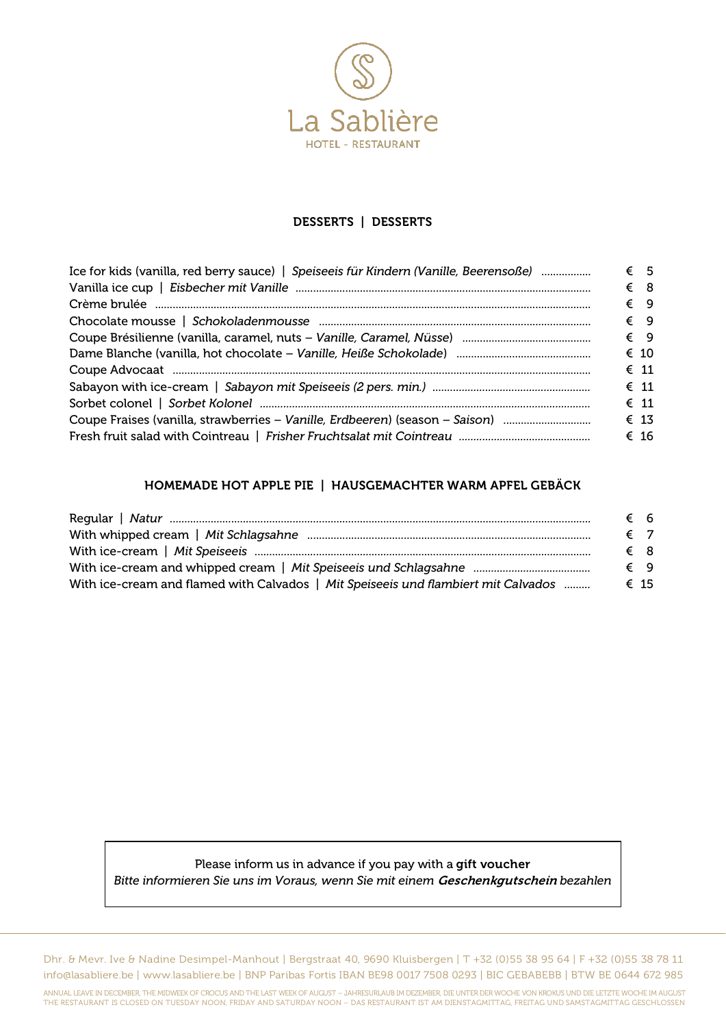

## DESSERTS | DESSERTS

| Ice for kids (vanilla, red berry sauce)   Speiseeis für Kindern (Vanille, Beerensoße) | € 5           |
|---------------------------------------------------------------------------------------|---------------|
|                                                                                       | € 8           |
|                                                                                       | $\xi$ 9       |
|                                                                                       | $\xi$ 9       |
|                                                                                       | $\xi$ 9       |
|                                                                                       | $\epsilon$ 10 |
|                                                                                       | $\epsilon$ 11 |
|                                                                                       | $\epsilon$ 11 |
|                                                                                       | $\epsilon$ 11 |
| Coupe Fraises (vanilla, strawberries – Vanille, Erdbeeren) (season – Saison)          | $\epsilon$ 13 |
|                                                                                       | € 16          |

### HOMEMADE HOT APPLE PIE | HAUSGEMACHTER WARM APFEL GEBÄCK

|                                                                                    | € 6  |  |
|------------------------------------------------------------------------------------|------|--|
|                                                                                    | € 7  |  |
|                                                                                    | € 8  |  |
|                                                                                    | € 9  |  |
| With ice-cream and flamed with Calvados   Mit Speiseeis und flambiert mit Calvados | € 15 |  |

# Please inform us in advance if you pay with a gift voucher *Bitte informieren Sie uns im Voraus, wenn Sie mit einem* Geschenkgutschein *bezahlen*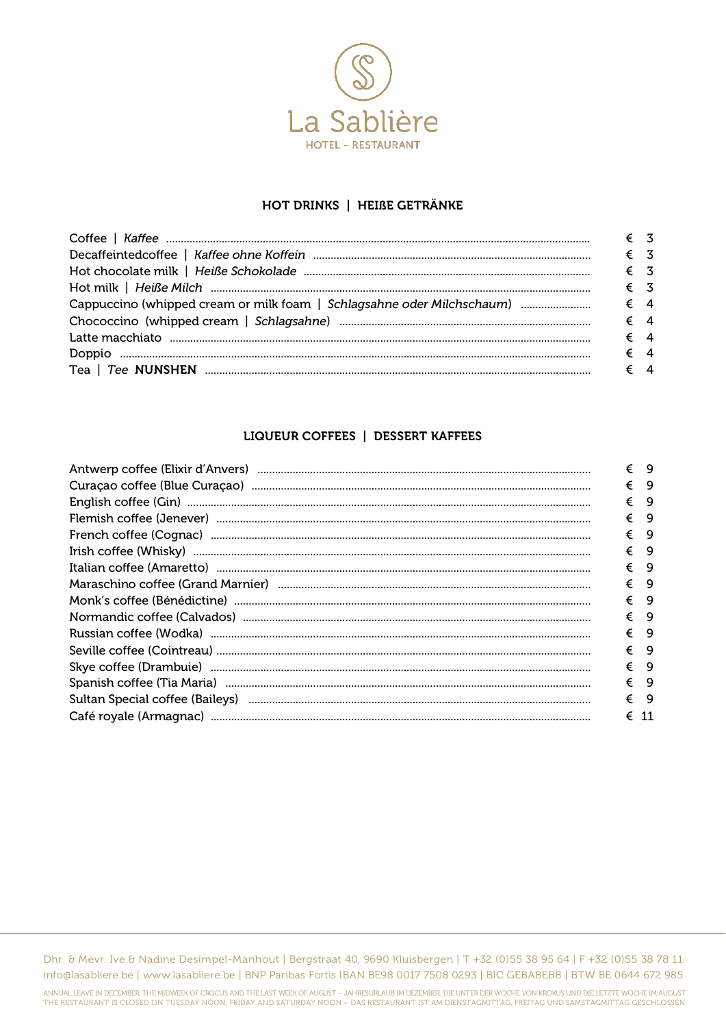

### HOT DRINKS | HEIßE GETRÄNKE

| $\epsilon$ 3 |  |
|--------------|--|
| $\epsilon$ 3 |  |
|              |  |
| $\epsilon$ 3 |  |
|              |  |
|              |  |
| $\epsilon$ 4 |  |
| $\epsilon$ 4 |  |
| $\epsilon$ 4 |  |

# **LIQUEUR COFFEES | DESSERT KAFFEES**

| Antwerp coffee (Elixir d'Anvers) manufacture entre la contratte de la contratte de la contratte de la contratte de la contratte de la contratte de la contratte de la contratte de la contratte de la contratte de la contratt | € 9           |     |
|--------------------------------------------------------------------------------------------------------------------------------------------------------------------------------------------------------------------------------|---------------|-----|
|                                                                                                                                                                                                                                | €             | - 9 |
|                                                                                                                                                                                                                                | € 9           |     |
|                                                                                                                                                                                                                                | $\xi$ 9       |     |
|                                                                                                                                                                                                                                | €             | - 9 |
|                                                                                                                                                                                                                                | € 9           |     |
|                                                                                                                                                                                                                                | $\xi$ 9       |     |
|                                                                                                                                                                                                                                | €             | - 9 |
|                                                                                                                                                                                                                                | €             | - 9 |
|                                                                                                                                                                                                                                | $\xi$ 9       |     |
|                                                                                                                                                                                                                                | €             | - 9 |
|                                                                                                                                                                                                                                | $\xi$ 9       |     |
|                                                                                                                                                                                                                                | $\xi$ 9       |     |
|                                                                                                                                                                                                                                | €             | - 9 |
| Sultan Special coffee (Baileys) manufacture and the contract of the contract of the substitution of the substitution of the substitution of the substitution of the substitution of the substitution of the substitution of th | € 9           |     |
|                                                                                                                                                                                                                                | $\epsilon$ 11 |     |
|                                                                                                                                                                                                                                |               |     |

Dhr. & Mevr. Ive & Nadine Desimpel-Manhout | Bergstraat 40, 9690 Kluisbergen | T +32 (0)55 38 95 64 | F +32 (0)55 38 78 11 info@lasabliere.be | www.lasabliere.be | BNP Paribas Fortis IBAN BE98 0017 7508 0293 | BIC GEBABEBB | BTW BE 0644 672 985

ANNUAL LEAVE IN DECEMBER, THE MIDWEEK OF CROCUS AND THE LAST WEEK OF AUGUST – JAHRESURLAUB IM DEZEMBER, DIE UNTER DER WOCHE VON KROKUS UND DIE LETZTE WOCHE IM AUGUST<br>THE RESTAURANT IS CLOSED ON TUESDAY NOON, FRIDAY AND SAT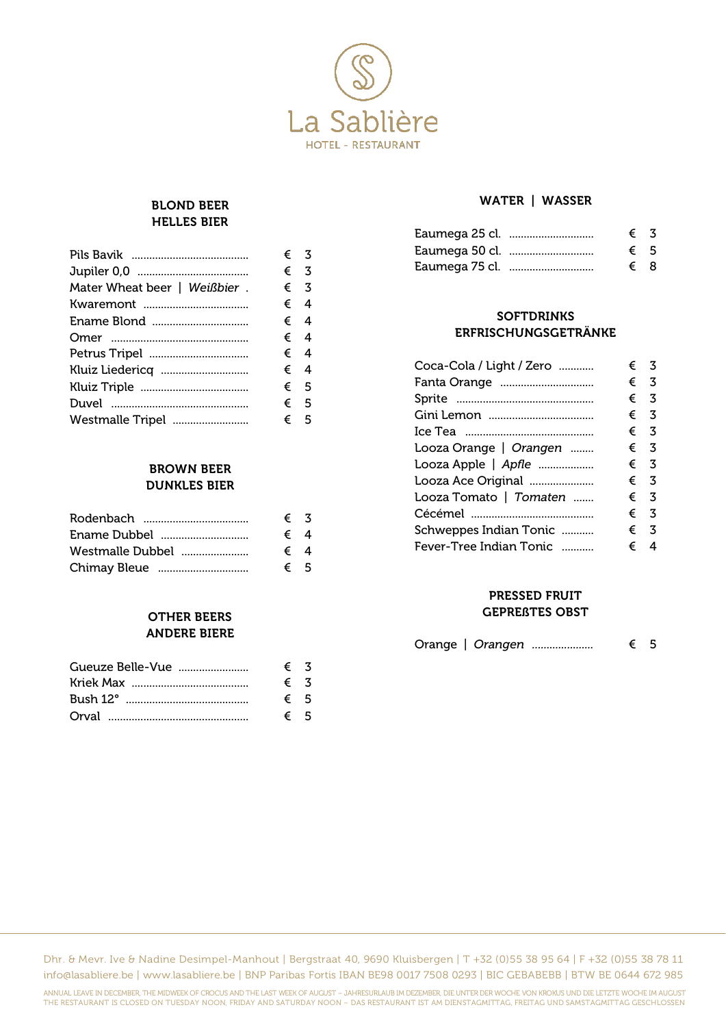

 $\epsilon$  3  $\epsilon$  3  $\epsilon$  3  $\epsilon$  4  $\epsilon$  4  $\epsilon$  4  $\epsilon$  4

### BLOND BEER HELLES BIER

|                              | € 3          |
|------------------------------|--------------|
|                              | € 3          |
| Mater Wheat beer   Weißbier. | € 3          |
|                              | € 4          |
|                              | € 4          |
|                              | € 4          |
| Petrus Tripel                | € 4          |
|                              | $\epsilon$ 4 |
|                              | € 5          |
|                              | € 5          |
| Westmalle Tripel             | € 5          |
|                              |              |

### BROWN BEER DUNKLES BIER

|                  | $\epsilon$ 3 |  |
|------------------|--------------|--|
| Ename Dubbel     | € 4          |  |
| Westmalle Dubbel | € 4          |  |
|                  | € 5          |  |

## OTHER BEERS ANDERE BIERE

| $\epsilon$ 3 |     |
|--------------|-----|
| $\epsilon$ 3 |     |
| $\epsilon$ 5 |     |
|              | € 5 |

### WATER | WASSER

| Eaumega 25 cl. | $\epsilon$ 3 |  |
|----------------|--------------|--|
| Eaumega 50 cl. | $\epsilon$ 5 |  |
| Eaumega 75 cl. | $\xi$ 8      |  |

### **SOFTDRINKS** ERFRISCHUNGSGETRÄNKE

| Coca-Cola / Light / Zero | € | 3            |
|--------------------------|---|--------------|
| Fanta Orange             | € | 3            |
|                          |   | € 3          |
|                          |   | € 3          |
|                          |   | $\epsilon$ 3 |
| Looza Orange   Orangen   |   | € 3          |
| Looza Apple   Apfle      |   | € 3          |
| Looza Ace Original       | € | 3            |
| Looza Tomato   Tomaten   |   | € 3          |
|                          |   | € 3          |
| Schweppes Indian Tonic   | € | 3            |
| Fever-Tree Indian Tonic  | € | 4            |

#### PRESSED FRUIT GEPREßTES OBST

Orange | *Orangen .....................* € 5

Dhr. & Mevr. Ive & Nadine Desimpel-Manhout | Bergstraat 40, 9690 Kluisbergen | T +32 (0)55 38 95 64 | F +32 (0)55 38 78 11 info@lasabliere.be | www.lasabliere.be | BNP Paribas Fortis IBAN BE98 0017 7508 0293 | BIC GEBABEBB | BTW BE 0644 672 985

ANNUAL LEAVE IN DECEMBER, THE MIDWEEK OF CROCUS AND THE LAST WEEK OF AUGUST – JAHRESURLAUB IM DEZEMBER, DIE UNTER DER WOCHE VON KROKUS UND DIE LETZTE WOCHE IM AUGUST THE RESTAURANT IS CLOSED ON TUESDAY NOON, FRIDAY AND SATURDAY NOON – DAS RESTAURANT IST AM DIENSTAGMITTAG, FREITAG UND SAMSTAGMITTAG GESCHLOSSEN